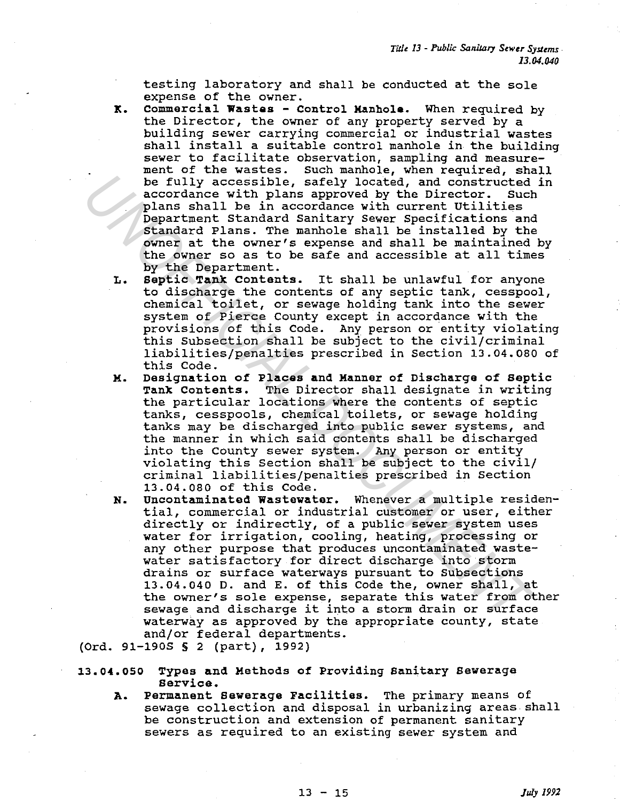testing laboratory and shall be conducted at the sole expense of the owner.

- K. Commercial Wastes Control Manhole. When required by the Director, the owner of any property served by a building sewer carrying commercial or industrial wastes shall install a suitable control manhole in the building sewer to facilitate observation, sampling and measurement of the wastes. Such manhole, when required, shall he fully accessible, safely located, and constructed in accordance with plans approved by the Director. Such plans shall be in accordance with current Utilities Department Standard Sanitary Sewer Specifications and Standard Plans. The manhole shall be installed by the owner at the owner's expense and shall be maintained by the owner so as to be safe and accessible at all times by the Department.
- L. Septic Tank contents. It shall be unlawful for anyone to discharge the contents of any septic tank, cesspool, chemical toilet, or sewage holding tank into the sewer system of Pierce County except in accordance with the provisions of this Code. Any person or entity violating this Subsection shall be subject to the civil/criminal liabilities/penalties prescribed in Section 13.04.080 of this Code.
- M. Designation of Places and Manner of Discharge of Septic Tank Contents. The Director shall designate in writing the particular locations where the contents of septic tanks, cesspools, chemical toilets, or sewage holding tanks may be discharged into public sewer systems, and the manner in which said contents shall be discharged into the County sewer system. Any person or entity violating this Section shall be subject to the civil/ criminal liabilities/penalties prescribed in Section 13.04.080 of this Code.
- N. Uncontaminated Wastewater. Whenever a multiple residential, commercial or industrial customer or user, either directly or indirectly, of a public sewer system uses water for irrigation, cooling, heating, processing or any other purpose that produces uncontaminated wastewater satisfactory for direct discharge into storm drains or surface waterways pursuant to Subsections 13.04.040 D. and E. of this Code the, owner shall, at the owner's sole expense, separate this water from other sewage and discharge it into a storm drain or surface waterway as approved by the appropriate county, state and/or federal departments. is the fully accessible, safely located, and constructed the constant and condiner a secondance with plans approved by the Director. Such plans approved by the Director. Such plans approved the condiner with current tritli

(Ord. 91-190S S 2 (part), 1992)

13.04.050 Types and Methods of Providing Sanitary Sewerage Service.

A. Permanent sewerage Facilities. The primary means of sewage collection and disposal in urbanizing areas shall be construction and extension of permanent sanitary sewers as required to an existing sewer system and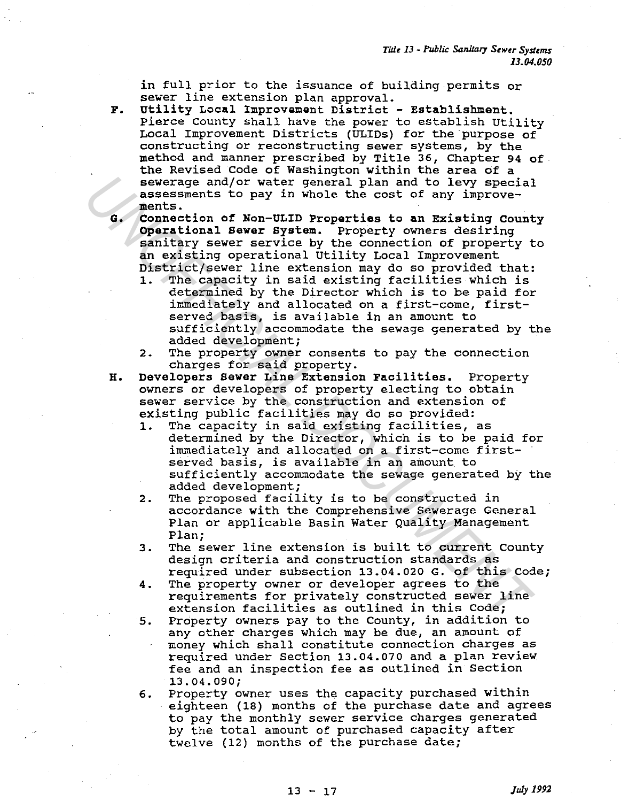in full prior to the issuance of building permits or sewer line extension plan approval.

- F. Utility Local Improvement District Establishment. Pierce County shall have the power to establish Utility Local Improvement Districts (ULIDs) for the purpose of constructing or reconstructing sewer systems, by the method and manner prescribed by Title 36, Chapter 94 of the Revised Code of Washington within the area of a sewerage and/or water general plan and to levy special assessments to pay in whole the cost of any improvements.
- G. Connection of Non-ULID Properties to an Existing county Operational Sewer system. Property owners desiring sanitary sewer service by the connection of property to an existing operational Utility Local Improvement District/sewer line extension may do so provided that:
- 1. The capacity in said existing facilities which is determined by the Director which is to be paid for immediately and allocated on a first-come, firstserved basis, is available in an amount to sufficiently accommodate the sewage generated by the added development; severage and/or water general plan and to levy special<br>assessments to pay in whole the cost of any improve-<br>assessments to pay in the cost of any improve-<br>connection of Non-ULID Properties to an Existing Coun<br>operational S
	- 2. The property owner consents to pay the connection charges for said property.
	- H. Developers sewer Line Extension Facilities. Property owners or developers of property electing to obtain sewer service by the construction and extension of existing public facilities may do so provided:
		- 1. The capacity in said existing facilities, as determined by the Director, which is to be paid for immediately and allocated on a first-come firstserved basis, is available in an amount to sufficiently accommodate the sewage generated by the added development;
		- 2. The proposed facility is to be constructed in accordance with the Comprehensive Sewerage General Plan or applicable Basin Water Quality Management Plan;
		- 3. The sewer line extension is built to current County design criteria and construction standards as required under subsection 13.04.020 G. of this Code;
		- 4. The property owner or developer agrees to the requirements for privately constructed sewer line extension facilities as outlined in this Code;
		- 5. Property owners pay to the County, in addition to any other charges which may be due, an amount of money which shall constitute connection charges as required under Section 13.04.070 and a plan review fee and an inspection fee as outlined in Section 13.04.090;
		- 6. Property owner uses the capacity purchased within eighteen (18) months of the purchase date and agrees to pay the monthly sewer service charges generated by the total amount of purchased capacity after twelve (12) months of the purchase date;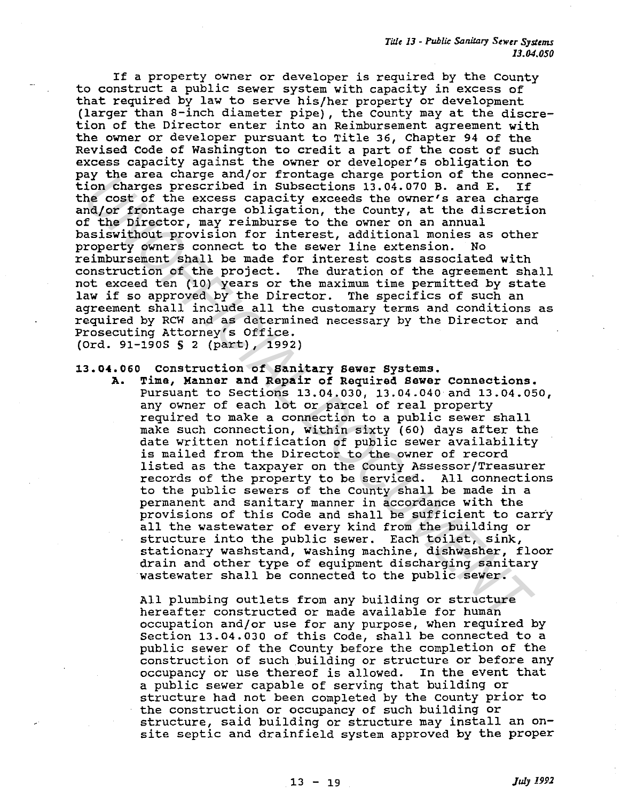If a property owner or developer is required by the County to construct a public sewer system with capacity in excess of that required by law to serve his/her property or development (larger than a-inch diameter pipe), the County may at the discretion of the Director enter into an Reimbursement agreement with the owner or developer pursuant to Title 36, Chapter 94 of the Revised Code of Washington to credit a part of the cost of such excess capacity against the owner or developer's obligation to pay the area charge and/or frontage charge portion of the connection charges prescribed in Subsections 13.04.070 B. and E. If the cost of the excess capacity exceeds the owner's area charge and/or frontage charge obligation, the County, at the discretion of the Director, may reimburse to the owner on an annual basiswithout provision for interest, additional monies as other property owners connect to the sewer line extension. No reimbursement shall be made for interest costs associated with construction of the project. The duration of the agreement shall not exceed ten (10) years or the maximum time permitted by state law if so approved by the Director. The specifics of such an agreement shall include all the customary terms and conditions as required by RCW and as determined necessary by the Director and Prosecuting Attorney's Office. (Ord. 91-1905 S 2 (part), 1992)

# 13.04.060 construction of sanitary sewer systems.

A. Time, Manner and Repair of Required sawer Connections. Pursuant to Sections 13.04.030, 13.04.040 and 13.04.050, any owner of each lot or parcel of real property required to make a connection to a public sewer shall make such connection, within sixty (60) days after the date written notification of public sewer availability is mailed from the Director to the owner of record listed as the taxpayer on the County Assessor/Treasurer records of the property to be serviced. All connections to the public sewers of the County shall be made in a permanent and sanitary manner in accordance with the provisions of this Code and shall be sufficient to carry all the wastewater of every kind from the building or structure into the public sewer. Each toilet, sink, stationary washstand, washing machine, dishwasher, floor drain and other type of equipment discharging sanitary wastewater shall be connected to the public sewer. Var dree cannely annot include cannel by the dree cannel and contents in the content of the content of the content<br>include the cases capacity exceeds the owner's area charges preserving charge obligation, the County, at th

All plumbing outlets from any building or structure hereafter constructed or made available for human occupation and/or use for any purpose, when required by Section 13.04.030 of this Code, shall be connected to a public sewer of the County before the completion of the construction of such building or structure or before any occupancy or use thereof is allowed. In the event that a public sewer capable of serving that building or structure had not been completed by the county prior to the construction or occupancy of such building or structure, said building or structure may install an onsite septic and drainfield system approved by the proper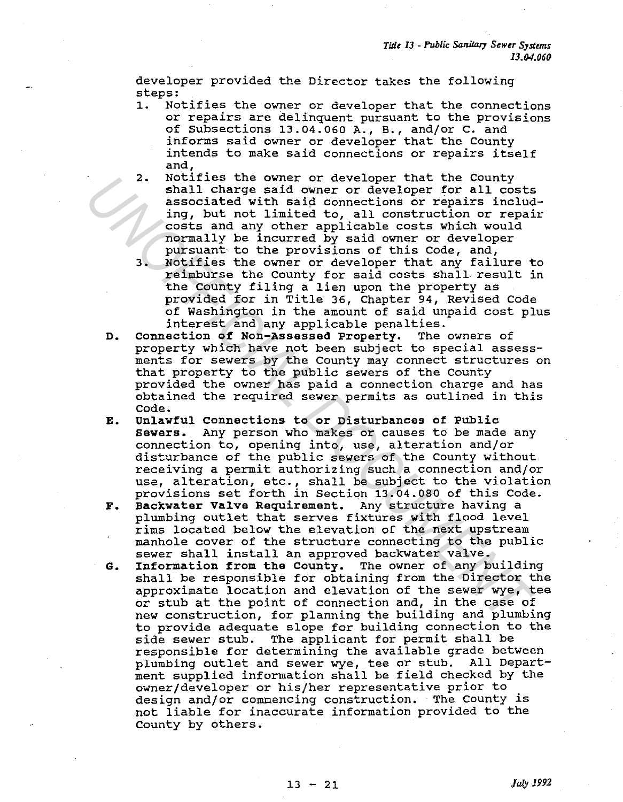developer provided the Director takes the following steps:

- 1. Notifies the owner or developer that the connections or repairs are delinquent pursuant to the provisions of Subsections 13.04.060 A., B., and/or c. and informs said owner or developer that the County intends to make said connections or repairs itself and,
- 2. Notifies the owner or developer that the County shall charge said owner or developer for all costs associated with said connections or repairs including, but not limited to, all construction or repair costs and any other applicable costs which would normally be incurred by said owner or developer pursuant to the provisions of this Code, and,
- 3. Notifies the owner or developer that any failure to reimburse the county for said costs shall result in the County filing a lien upon the property as provided for in Title 36, Chapter 94, Revised Code of Washington in the amount of said unpaid cost plus interest and any applicable penalties.<br>ection of Non-Assessed Property. The owners of
- D. Connection of Non-Assessed Property. property which have not been subject to special assessments for sewers by the County may connect structures on that property to the public sewers of the County provided the owner has paid a connection charge and has obtained the required sewer permits as outlined in this Code.
- E. Unlawful connections to or Disturbances of Public sewers. Any person who makes or causes to be made any connection to, opening into, use, alteration and/or disturbance of the public sewers of the County without receiving a permit authorizing such a connection and/or use, alteration, etc., shall be subject to the violation provisions set forth in Section 13.04.080 of this Code. 2. Notifies the owner or developer that the County<br>shall charge said owner or developer for all costs<br>associated with said connections or repains include<br>ing, but not limited to, all construction or repains<br>costs and any o
	- F. Backwater Valve Requirement. Any structure having a plumbing outlet that serves fixtures with flood level rims located below the elevation of the next upstream manhole cover of the structure connecting to the public sewer shall install an approved backwater valve.
	- G. Information from the County. The owner of any building shall be responsible for obtaining from the Director the approximate location and elevation of the sewer wye, tee or stub at the point of connection and, in the case of new construction, for planning the building and plumbing to provide adequate slope for building connection to the side sewer stub. The applicant for permit shall be responsible for determining the available grade between plumbing outlet and sewer wye, tee or stub. All Department supplied information shall be field checked by the owner/developer or his/her representative prior to design and/or commencing construction. The County is not liable for inaccurate information provided to the County by others.

13 - 21 *Jul:y 1992*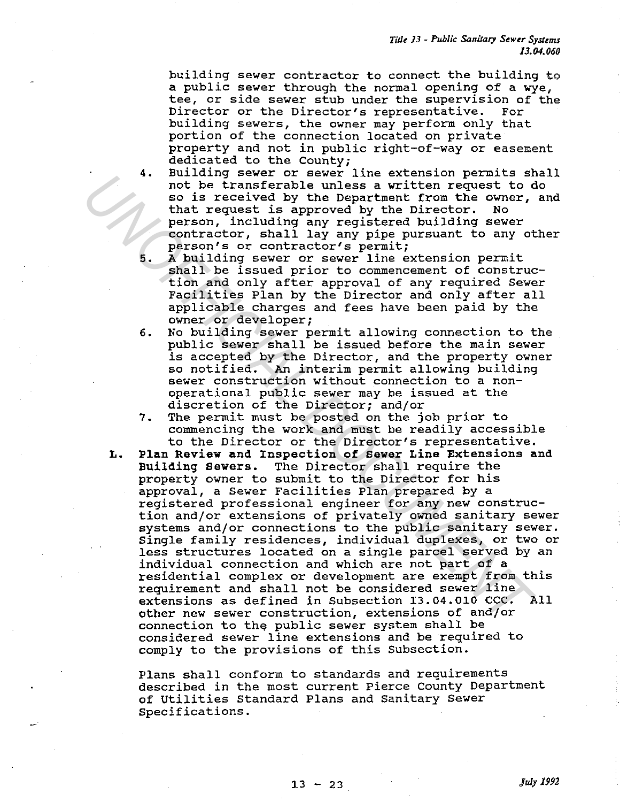building sewer contractor to connect the building to a public sewer through the normal opening of a wye, tee, or side sewer stub under the supervision of the Director's representative. For Director or the Director's representative. building sewers, the owner may perform only that portion of the connection located on private property and not in public right-of-way or easement dedicated to the County;

- 4. Building sewer or sewer line extension permits shall not be transferable unless a written request to do so is received by the Department from the owner, and that request is approved by the Director. No that request is approved by the Director. person, including any registered building sewer contractor, shall lay any pipe pursuant to any other person's or contractor's permit;
- 5. A building sewer or sewer line extension permit shall be issued prior to commencement of construction and only after approval of any required Sewer Facilities Plan by the Director and only after all applicable charges and fees have been paid by the owner or developer;
- 6. No building sewer permit allowing connection to the public sewer shall be issued before the main sewer is accepted by the Director, and the property owner so notified. An interim permit allowing building sewer construction without connection to a nonoperational public sewer may be issued at the discretion of the Director; and/or
- 7. The permit must be posted on the job prior to commencing the work and must be readily accessible to the Director or the Director's representative.
- L. Plan Review and Inspection of Sewer Line Extensions and<br>Building Sewers. The Director shall require the The Director shall require the property owner to submit to the Director for his approval, a Sewer Facilities Plan prepared by a registered professional engineer for any new construction and/or extensions of privately owned sanitary sewer systems and/or connections to the public sanitary sewer. Single family residences, individual duplexes, or two or less structures located on a single parcel served by an individual connection and which are not part of a residential complex or development are exempt from this requirement and shall not be considered sewer line extensions as defined in Subsection 13.04.010 CCC. All other new sewer construction, extensions of and/or connection to the public sewer system shall be considered sewer line extensions and be required to comply to the provisions of this Subsection. **Example Several considerable unless a written request to**<br>so is received by the Department from the cover,<br>that request is approved by the Director. No<br>entractor, shall lay any peigneer building sever contractor, shall la

Plans shall conform to standards and requirements described in the most current Pierce County Department of Utilities Standard Plans and Sanitary Sewer Specifications.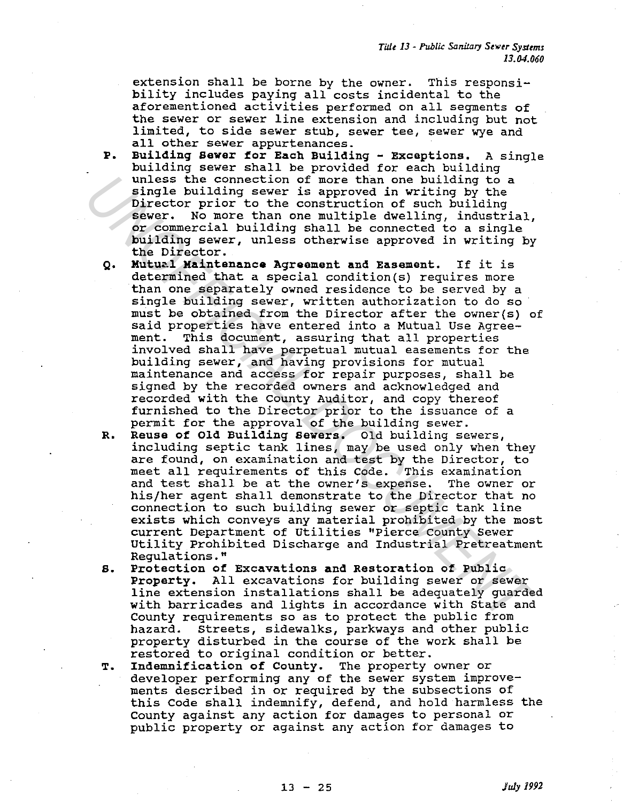extension shall be borne by the owner. This responsibility includes paying all costs incidental to the aforementioned activities performed on all segments of the sewer or sewer line extension and including but not limited, to side sewer stub, sewer tee, sewer wye and all other sewer appurtenances.

- P. Buildinq Sewer for Each Buildinq Exceptions. A single building sewer shall be provided for each building unless the connection of more than one building to a single building sewer is approved in writing by the Director prior to the construction of such building<br>sewer. No more than one multiple dwelling, industr No more than one multiple dwelling, industrial, or commercial building shall be connected to a single building sewer, unless otherwise approved in writing by the Director.
- Q. Mutual Maintenance Agreement and Easement. If it is determined that a special condition(s) requires more than one separately owned residence to be served by a single building sewer, written authorization to do so must be obtained from the Director after the owner(s) of said properties have entered into a Mutual Use Agreement. This document, assuring that all properties involved shall have perpetual mutual easements for the building sewer, and having provisions for mutual maintenance and access for repair purposes, shall be signed by the recorded owners and acknowledged and recorded with the County Auditor, and copy thereof furnished to the Director prior to the issuance of a permit for the approval of the building sewer. unless the connection of more than one building to a providing to piecer is approved in writing by the Director prior to the construction of such building sever. No more than one multiple dwelling, industrial, or commercia
	- R. Reuse of Old Building sewers. Old building sewers, including septic tank lines, may be used only when they are found, on examination and test by the Director, to meet all requirements of this Code. This examination and test shall be at the owner's expense. The owner or his/her agent shall demonstrate to the Director that no connection to such building sewer or septic tank line exists which conveys any material prohibited by the most current Department of Utilities "Pierce County Sewer Utility Prohibited Discharge and Industrial Pretreatment Regulations."
	- s. Protection of Excavations and Restoration of Public Property. All excavations for building sewer or sewer line extension installations shall be adequately guarded with barricades and lights in accordance with State and County requirements so as to protect the public from hazard. Streets, sidewalks, parkways and other public property disturbed in the course of the work shall be restored to original condition or better.
	- T. Indemnification of County. The property owner or developer performing any of the sewer system improvements described in or required by the subsections of this Code shall indemnify, defend, and hold harmless the County against any action for damages to personal or public property or against any action for damages to

13 - 25 *July 1992*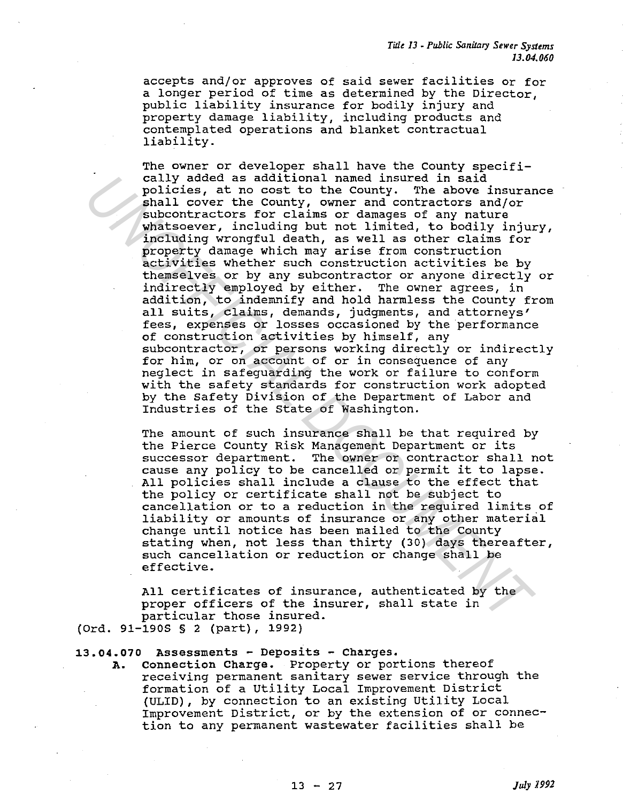accepts and/or approves of said sewer facilities or for a longer period of time as determined by the Director, public liability insurance for bodily injury and property damage liability, including products and contemplated operations and blanket contractual liability.

The owner or developer shall have the County specifically added as additional named insured in said policies, at no cost to the County. The above insurance shall cover the County, owner and contractors and/or subcontractors for claims or damages of any nature whatsoever, including but not limited, to bodily injury, including wrongful death, as well as other claims for property damage which may arise from construction activities whether such construction activities be by themselves or by any subcontractor or anyone directly or indirectly employed by either. The owner agrees, in addition, to indemnify and hold harmless the County from all suits, claims, demands, judgments, and attorneys' fees, expenses or losses occasioned by the performance of construction activities by himself, any subcontractor, or persons working directly or indirectly for him, or on account of or in consequence of any neglect in safeguarding the work or failure to conform with the safety standards for construction work adopted by the Safety Division of the Department of Labor and Industries of the State of Washington. cally added as additional named insured in said control and the pointinum splation and control subcombinations and control subcombinations and control subcombinations and control including wrongful death, as well as other

The amount of such insurance shall be that required by the Pierce County Risk Management Department or its successor department. The owner or contractor shall not cause any policy to be cancelled or permit it to lapse. All policies shall include a clause to the effect that the policy or certificate shall not be subject to cancellation or to a reduction in the required limits of liability or amounts of insurance or any other material change until notice has been mailed to the County stating when, not less than thirty (30) days thereafter, such cancellation or reduction or change shall be effective.

All certificates of insurance, authenticated by the proper officers of the insurer, shall state in particular those insured.

(Ord. 91-190S § 2 (part), 1992)

## **13.04.070** Assessments - Deposits - Charges.

A. connection Charge. Property or portions thereof receiving permanent sanitary sewer service through the formation of a Utility Local Improvement District (ULID), by connection to an existing Utility Local Improvement District, or by the extension of or connection to any permanent wastewater facilities shall be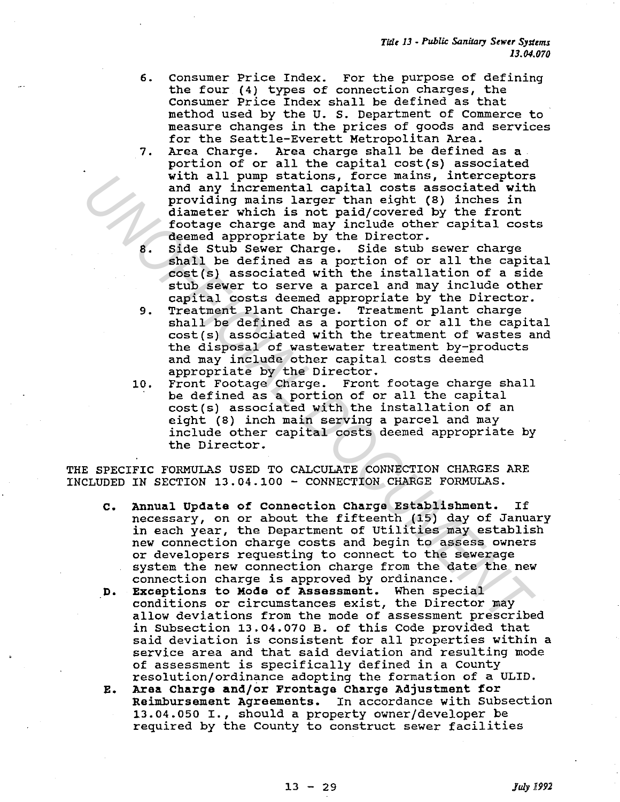- 6. Consumer Price Index. For the purpose of defining the four (4) types of connection charges, the consumer Price Index shall be defined as that method used by the U. S. Department of Commerce to measure changes in the prices of goods and services for the Seattle-Everett Metropolitan Area.
- 7. Area Charge. Area charge shall be defined as a portion of or all the capital cost(s) associated with all pump stations, force mains, interceptors and any incremental capital costs associated with providing mains larger than eight (8) inches in diameter which is not paid/covered by the front footage charge and may include other capital costs deemed appropriate by the Director.
- 8. Side stub Sewer Charge. Side stub sewer charge shall be defined as a portion of or all the capital cost(s) associated with the installation of a side stub sewer to serve a parcel and may include other capital costs deemed appropriate by the Director.
- 9. Treatment Plant Charge. Treatment plant charge shall be defined as a portion of or all the capital cost(s) associated with the treatment of wastes and the disposal of wastewater treatment by-products and may include other capital costs deemed appropriate by the Director.
- 10. Front Footage Charge. Front footage charge shall be defined as a portion of or all the capital cost(s) associated with the installation of an eight (8) inch main serving a parcel and may include other capital costs deemed appropriate by the Director.

THE SPECIFIC FORMULAS USED TO CALCULATE CONNECTION CHARGES ARE INCLUDED IN SECTION 13.04.100 - CONNECTION CHARGE FORMULAS.

- c. Annual Update of Connection Charge Establishment. If necessary, on or about the fifteenth (15) day of January in each year, the Department of Utilities may establish new connection charge costs and begin to assess owners or developers requesting to connect to the sewerage system the new connection charge from the date the new connection charge is approved by ordinance. with all pump stations, force mains, interceptors<br>and any incremental capital costs associated with<br>channels in arger than eight (8) inches in<br>diameter which is not paid/overed by the front<br>diameter which is not paid/overe
	- D. Exceptions to Mode of Assessment. When special conditions or circumstances exist, the Director may allow deviations from the mode of assessment prescribed in Subsection 13.04.070 B. of this Code provided that said deviation is consistent for all properties within a service area and that said deviation and resulting mode of assessment is specifically defined in a County resolution/ordinance adopting the formation of a ULID.
	- E. Area Charge and/or Frontage Charge Adjustment for Reimbursement Agreements. In accordance with Subsection 13.04.050 I., should a property owner/developer be required by the County to construct sewer facilities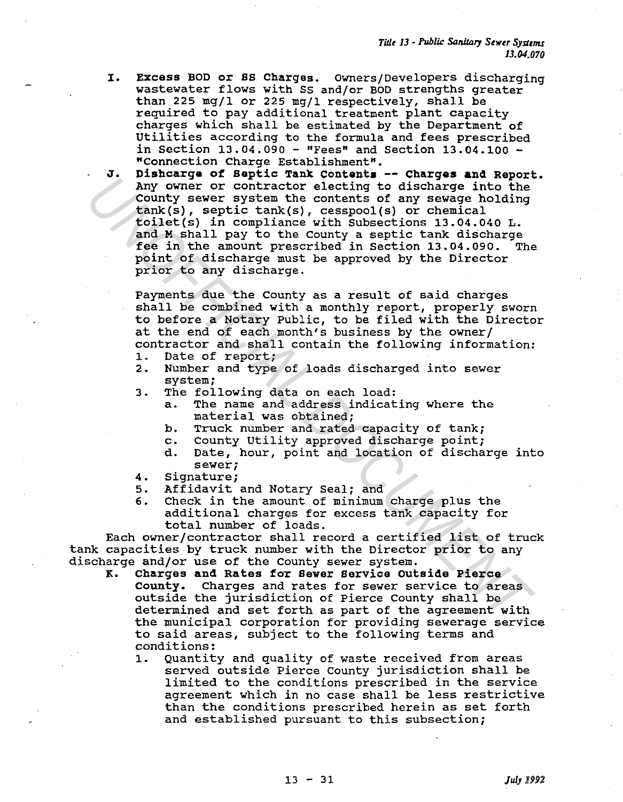- I. EXcess BOD or SS Charges. Owners/Developers discharging wastewater flows with SS and/or BOD strengths greater than 225 mg/l or 225 mg/l respectively, shall be required to pay additional treatment plant capacity charges which shall be estimated by the Department of Utilities according to the formula and fees prescribed in Section  $13.04.090 -$  "Fees" and Section  $13.04.100 -$ "Connection Charge Establishment".
- J. Dishcarga of Septic Tank contents -- Charges and Report. Any owner or contractor electing to discharge into the County sewer system the contents of any sewage holding tank(s), septic tank(s), cesspool(s) or chemical toilet(s) in compliance with Subsections 13.04.040 L. and M shall pay to the county a septic tank discharge fee in the amount prescribed in section 13.04.090. The point of discharge must be approved by the Director prior to any discharge. Any owner or contractor electing to discharge into the<br>
country sever system the contractor electing to discharge into the<br>
tank(s), segric tank(s), cesspool(s) or chemical<br>
toilet(s) in compliance with Subsections 13.04.0

Payments due the County as a result of said charges shall be combined with a monthly report, properly sworn to before a Notary Public, to be filed with the Director at the end of each month's business by the owner/ contractor and shall contain the following information:

- 1. Date of report;<br>2. Number and type
- Number and type of loads discharged into sewer system;
- 3. The following data on each load:
	- a. The name and address indicating where the material was obtained;
	- b. Truck number and rated capacity of tank;
	-
	- c. County Utility approved discharge point;<br>d. Date, hour, point and location of discha Date, hour, point and location of discharge into sewer;
- 4. Signature;
- 5. Affidavit and Notary Seal; and
- 6. Check in the amount of minimum charge plus the additional charges for excess tank capacity for total number of loads.

Each owner/contractor shall record a certified list of truck tank capacities by truck number with the Director prior to any discharge and/or use of the County sewer system.

- K. Charges and Rates for Sewer Service Outside Pierce<br>County. Charges and rates for sewer service to area Charges and rates for sewer service to areas outside the jurisdiction of Pierce County shall be determined and set forth as part of the agreement with the municipal corporation for providing sewerage service to said areas, subject to the following terms and conditions:
	- 1. Quantity and quality of waste received from areas served outside Pierce County jurisdiction shall be limited to the conditions prescribed in the service agreement which in no case shall be less restrictive than the conditions prescribed herein as set forth and established pursuant to this subsection;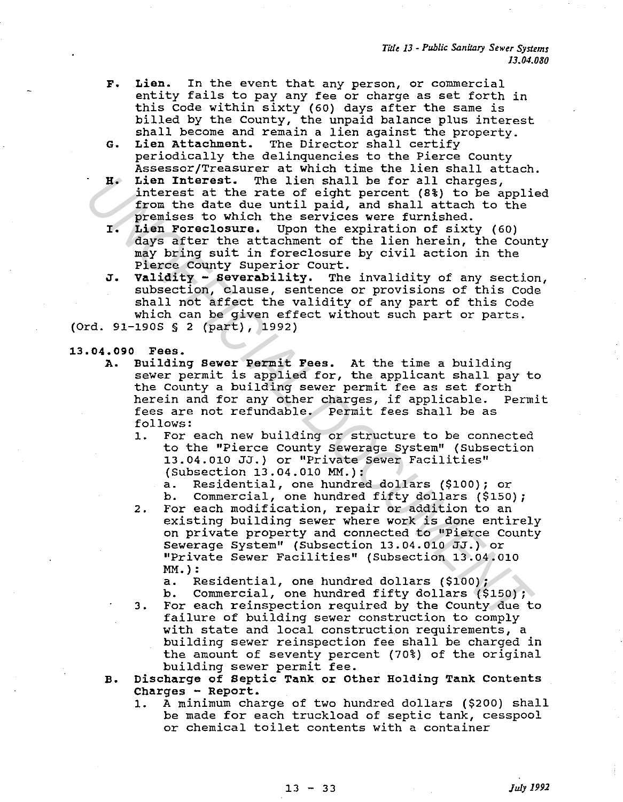- F. Lien. In the event that any person, or commercial entity fails to pay any fee or charge as set forth in this Code within sixty (60) days after the same is billed by the County, the unpaid balance plus interest shall become and remain a lien against the property.<br>Lien Attachment. The Director shall certify
- G. Lien Attachment. The Director shall certify periodically the delinquencies to the Pierce County Assessor/Treasurer at which time the lien shall attach.
- H. Lien Interest. The lien shall be for all charges, interest at the rate of eight percent (8%) to be applied from the date due until paid, and shall attach to the premises to which the services were furnished.
- r. Lien Foreclosure. Upon the expiration of sixty (60) days after the attachment of the lien herein, the County may bring suit in foreclosure by civil action in the Pierce County Superior court.
- J. Validity severability. The invalidity of any section, subsection, clause, sentence or provisions of this Code shall not affect the validity of any part of this Code which can be given effect without such part or parts. (Ord. 91-190S § 2 (part), 1992)

#### 13.04.090 Fees.

- A. Building sewer Permit Fees. At the time a building suituing sewer refinit rees. At the time a building<br>sewer permit is applied for, the applicant shall pay to the County a building sewer permit fee as set forth herein and for any other charges, if applicable. Permit fees are not refundable. Permit fees shall be as follows: In Linerast. The lies fail be for all charges,<br>interest at the rate of eight percent (34) to be applifyon the date due until paid, and shall attach to the premises to which the services were furnished.<br>I. Line Poreclasure.
	- 1. For each new building or structure to be connected to the "Pierce County Sewerage System" (Subsection 13.04.010 JJ.) or "Private Sewer Facilities" (Subsection 13.04.010 MM.):
		- a. Residential, one hundred dollars (\$100); or
		- b. Commercial, one hundred fifty dollars (\$150);
	- 2. For each modification, repair or addition to an existing building sewer where work is done entirely on private property and connected to "Pierce County Sewerage System" (Subsection 13.04.010 JJ.) or "Private Sewer Facilities" (Subsection 13.04.010 MM.):
		- a. Residential, one hundred dollars (\$100);
		- b. Commercial, one hundred fifty dollars (\$150);
	- 3. For each reinspection required by the County due to failure of building sewer construction to comply with state and local construction requirements, a building sewer reinspection fee shall be charged in the amount of seventy percent (70%) of the original building sewer permit fee.
	- B. Discharge of Septic Tank or Other Holding Tank Contents Charges - Report.
		- 1. A minimum charge of two hundred dollars (\$200) shall be made for each truckload of septic tank, cesspool or chemical toilet contents with a container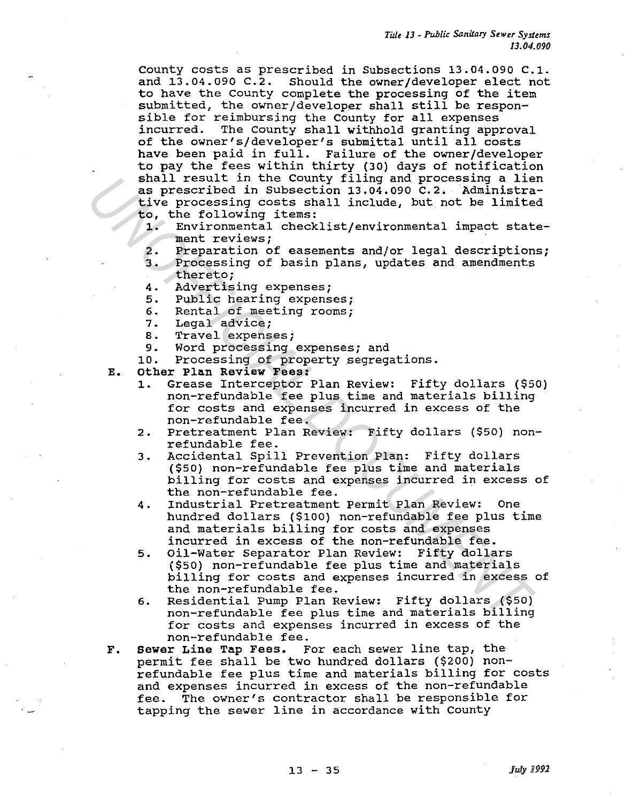*Tidt lJ* - *Public Sanitary Sewer Systems IJ.04.090* 

County costs as prescribed in Subsections 13.04.090 c.1. and 13.04.090 C.2. Should the owner/developer elect not to have the county complete the processing of the item submitted, the owner/developer shall still be responsible for reimbursing the County for all expenses<br>incurred. The County shall withhold granting app: The County shall withhold granting approval of the owner's/developer's submittal until all costs have been paid in full. Failure of the owner/developer to pay the fees within thirty (30) days of notification shall result in the County filing and processing a lien as prescribed in Subsection 13.04.090 c.2. Administrative processing costs shall include, but not be limited to, the following items:<br>1. Environmental check

- 1. Environmental checklist/environmental impact statement reviews;
- 
- 2. Preparation of easements and/or legal descriptions;<br>3. Processing of basin plans, updates and amendments Processing of basin plans, updates and amendments thereto;
- 4. Advertising expenses;
- 5. Public hearing expenses;<br>6. Rental of meeting rooms:
- 6. Rental of meeting rooms;<br>7. Legal advice;
- Legal advice;
- 8. Travel expenses;
- 9. Word processing expenses; and
- 10. Processing of property segregations.
- E. other Plan Review Fees:
	- 1. Grease Interceptor Plan Review: Fifty dollars (\$50) non-refundable fee plus time and materials billing for costs and expenses incurred in excess of the non-refundable fee.
	- 2. Pretreatment Plan Review: Fifty dollars (\$50) nonrefundable fee.
	- 3. Accidental Spill Prevention Plan: Fifty dollars (\$50) non-refundable fee plus time and materials billing for costs and expenses incurred in excess of the non-refundable fee.
	- 4. Industrial Pretreatment Permit Plan Review: One hundred dollars (\$100) non-refundable fee plus time and materials billing for costs and expenses incurred in excess of the non-refundable fee.
- 5. Oil-Water Separator Plan Review: Fifty dollars (\$50) non-refundable fee plus time and materials billing for costs and expenses incurred in excess of the non-refundable fee. islal result in the Country filling and processing a lies<br>spectribed in Subsection 13.04.099 C.2. Administrative processing costs shall include, but not be limite<br>to, the following items:<br>They are the concents and yor lega
	- 6. Residential Pump Plan Review: Fifty dollars (\$50) non-refundable fee plus time and materials billing for costs and expenses incurred in excess of the non-refundable fee.
	- F. sewer Line Tap Fees. For each sewer line tap, the permit fee shall be two hundred dollars (\$200) nonrefundable fee plus time and materials billing for costs and expenses incurred in excess of the non-refundable fee. The owner's contractor shall be responsible for tapping the sewer line in accordance with County

13 - 35 *July* B992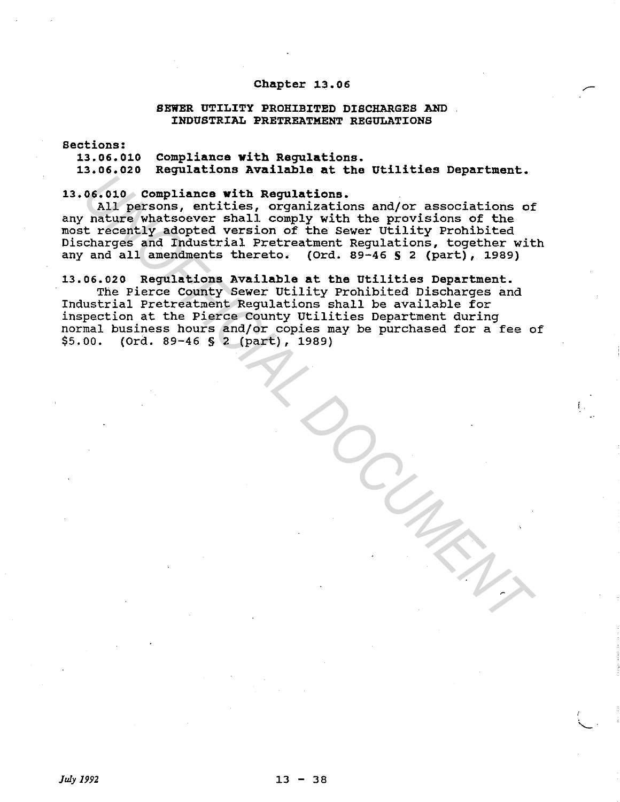# Chapter 13.06

#### SEWER UTILITY PROHIBITED DISCHARGES AND INDUSTRIAL PRETREATMENT REGULATIONS

Sections:

13.06.010 13.06.020 Regulations Available at the Utilities Department. compliance with Regulations.

13.06.010 compliance with Regulations.

All persons, entities, organizations and/or associations of any nature whatsoever shall comply with the provisions of the most recently adopted version of the Sewer Utility Prohibited Discharges and Industrial Pretreatment Regulations, together with any and all amendments thereto. (Ord. 89-46 S 2 (part), 1989)

13.06.020 Regulations Available at the Utilities Department.

The Pierce County Sewer Utility Prohibited Discharges and Industrial Pretreatment Regulations shall be available for inspection at the Pierce County Utilities Department during normal business hours and/or copies may be purchased for a fee of \$5.00. (Ord. 89-46 § 2 (part), 1989) **UNITED ASSES And the second set of the set of the set of the set of the set of the set of the set of the set of the set of the set of the set of the set of the set of the set of the set of the set of the set of the set of** 

f.